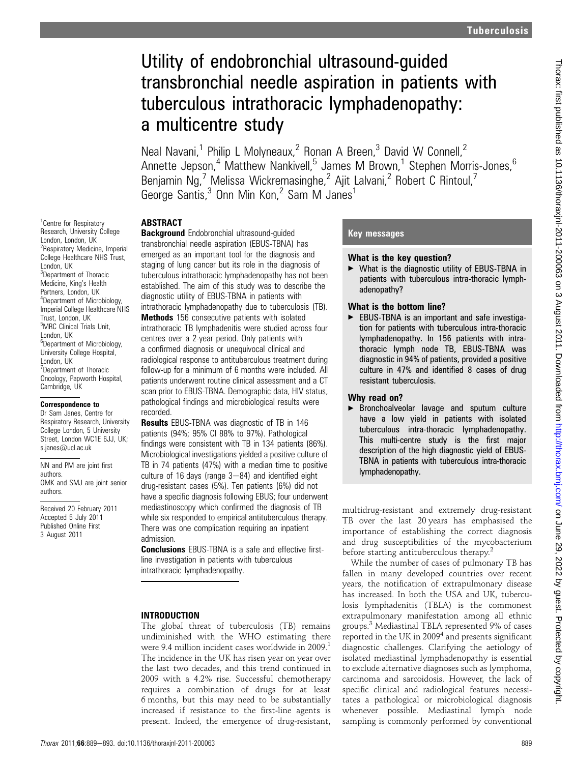# Utility of endobronchial ultrasound-guided transbronchial needle aspiration in patients with tuberculous intrathoracic lymphadenopathy: a multicentre study

Neal Navani,<sup>1</sup> Philip L Molyneaux,<sup>2</sup> Ronan A Breen,<sup>3</sup> David W Connell.<sup>2</sup> Annette Jepson,<sup>4</sup> Matthew Nankivell,<sup>5</sup> James M Brown,<sup>1</sup> Stephen Morris-Jones,<sup>6</sup> Benjamin Ng,<sup>7</sup> Melissa Wickremasinghe,<sup>2</sup> Ajit Lalvani,<sup>2</sup> Robert C Rintoul,<sup>7</sup> George Santis,<sup>3</sup> Onn Min Kon,<sup>2</sup> Sam M Janes<sup>1</sup>

## **ABSTRACT**

**Background** Endobronchial ultrasound-guided transbronchial needle aspiration (EBUS-TBNA) has emerged as an important tool for the diagnosis and staging of lung cancer but its role in the diagnosis of tuberculous intrathoracic lymphadenopathy has not been established. The aim of this study was to describe the diagnostic utility of EBUS-TBNA in patients with intrathoracic lymphadenopathy due to tuberculosis (TB). Methods 156 consecutive patients with isolated intrathoracic TB lymphadenitis were studied across four centres over a 2-year period. Only patients with a confirmed diagnosis or unequivocal clinical and radiological response to antituberculous treatment during follow-up for a minimum of 6 months were included. All patients underwent routine clinical assessment and a CT scan prior to EBUS-TBNA. Demographic data, HIV status, pathological findings and microbiological results were recorded.

**Results** EBUS-TBNA was diagnostic of TB in 146 patients (94%; 95% CI 88% to 97%). Pathological findings were consistent with TB in 134 patients (86%). Microbiological investigations yielded a positive culture of TB in 74 patients (47%) with a median time to positive culture of 16 days (range  $3-84$ ) and identified eight drug-resistant cases (5%). Ten patients (6%) did not have a specific diagnosis following EBUS; four underwent mediastinoscopy which confirmed the diagnosis of TB while six responded to empirical antituberculous therapy. There was one complication requiring an inpatient admission.

**Conclusions** EBUS-TBNA is a safe and effective firstline investigation in patients with tuberculous intrathoracic lymphadenopathy.

#### INTRODUCTION

The global threat of tuberculosis (TB) remains undiminished with the WHO estimating there were 9.4 million incident cases worldwide in 2009.<sup>1</sup> The incidence in the UK has risen year on year over the last two decades, and this trend continued in 2009 with a 4.2% rise. Successful chemotherapy requires a combination of drugs for at least 6 months, but this may need to be substantially increased if resistance to the first-line agents is present. Indeed, the emergence of drug-resistant,

#### Key messages

#### What is the key question?

▶ What is the diagnostic utility of EBUS-TBNA in patients with tuberculous intra-thoracic lymphadenopathy?

#### What is the bottom line?

 $\blacktriangleright$  EBUS-TBNA is an important and safe investigation for patients with tuberculous intra-thoracic lymphadenopathy. In 156 patients with intrathoracic lymph node TB, EBUS-TBNA was diagnostic in 94% of patients, provided a positive culture in 47% and identified 8 cases of drug resistant tuberculosis.

#### Why read on?

**Exercice Exercice Figure 3** Bronchoalveolar lavage and sputum culture have a low yield in patients with isolated tuberculous intra-thoracic lymphadenopathy. This multi-centre study is the first major description of the high diagnostic yield of EBUS-TBNA in patients with tuberculous intra-thoracic lymphadenopathy.

multidrug-resistant and extremely drug-resistant TB over the last 20 years has emphasised the importance of establishing the correct diagnosis and drug susceptibilities of the mycobacterium before starting antituberculous therapy.<sup>2</sup>

While the number of cases of pulmonary TB has fallen in many developed countries over recent years, the notification of extrapulmonary disease has increased. In both the USA and UK, tuberculosis lymphadenitis (TBLA) is the commonest extrapulmonary manifestation among all ethnic groups.<sup>3</sup> Mediastinal TBLA represented 9% of cases reported in the UK in  $2009<sup>4</sup>$  and presents significant diagnostic challenges. Clarifying the aetiology of isolated mediastinal lymphadenopathy is essential to exclude alternative diagnoses such as lymphoma, carcinoma and sarcoidosis. However, the lack of specific clinical and radiological features necessitates a pathological or microbiological diagnosis whenever possible. Mediastinal lymph node sampling is commonly performed by conventional

<sup>1</sup> Centre for Respiratory Research, University College London, London, UK <sup>2</sup> Respiratory Medicine, Imperial College Healthcare NHS Trust, London, UK <sup>3</sup>Department of Thoracic Medicine, King's Health Partners, London, UK 4 Department of Microbiology, Imperial College Healthcare NHS Trust, London, UK 5 MRC Clinical Trials Unit, London, UK 6 Department of Microbiology, University College Hospital, London, UK <sup>7</sup>Department of Thoracic Oncology, Papworth Hospital, Cambridge, UK

#### Correspondence to

Dr Sam Janes, Centre for Respiratory Research, University College London, 5 University Street, London WC1E 6JJ, UK; s.janes@ucl.ac.uk

NN and PM are joint first authors. OMK and SMJ are joint senior authors.

Received 20 February 2011 Accepted 5 July 2011 Published Online First 3 August 2011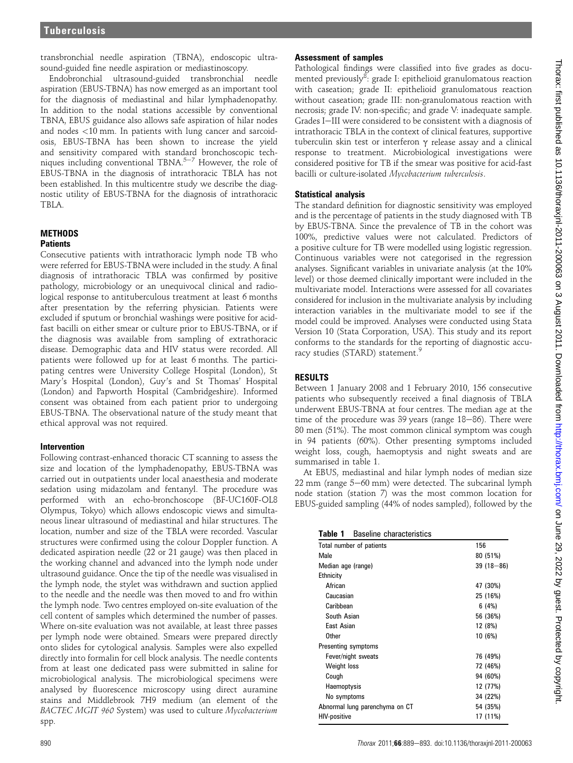transbronchial needle aspiration (TBNA), endoscopic ultrasound-guided fine needle aspiration or mediastinoscopy.

Endobronchial ultrasound-guided transbronchial needle aspiration (EBUS-TBNA) has now emerged as an important tool for the diagnosis of mediastinal and hilar lymphadenopathy. In addition to the nodal stations accessible by conventional TBNA, EBUS guidance also allows safe aspiration of hilar nodes and nodes <10 mm. In patients with lung cancer and sarcoidosis, EBUS-TBNA has been shown to increase the yield and sensitivity compared with standard bronchoscopic techniques including conventional TBNA.<sup>5-7</sup> However, the role of EBUS-TBNA in the diagnosis of intrathoracic TBLA has not been established. In this multicentre study we describe the diagnostic utility of EBUS-TBNA for the diagnosis of intrathoracic TBLA.

# **METHODS**

# **Patients**

Consecutive patients with intrathoracic lymph node TB who were referred for EBUS-TBNA were included in the study. A final diagnosis of intrathoracic TBLA was confirmed by positive pathology, microbiology or an unequivocal clinical and radiological response to antituberculous treatment at least 6 months after presentation by the referring physician. Patients were excluded if sputum or bronchial washings were positive for acidfast bacilli on either smear or culture prior to EBUS-TBNA, or if the diagnosis was available from sampling of extrathoracic disease. Demographic data and HIV status were recorded. All patients were followed up for at least 6 months. The participating centres were University College Hospital (London), St Mary's Hospital (London), Guy's and St Thomas' Hospital (London) and Papworth Hospital (Cambridgeshire). Informed consent was obtained from each patient prior to undergoing EBUS-TBNA. The observational nature of the study meant that ethical approval was not required.

#### Intervention

Following contrast-enhanced thoracic CT scanning to assess the size and location of the lymphadenopathy, EBUS-TBNA was carried out in outpatients under local anaesthesia and moderate sedation using midazolam and fentanyl. The procedure was performed with an echo-bronchoscope (BF-UC160F-OL8 Olympus, Tokyo) which allows endoscopic views and simultaneous linear ultrasound of mediastinal and hilar structures. The location, number and size of the TBLA were recorded. Vascular structures were confirmed using the colour Doppler function. A dedicated aspiration needle (22 or 21 gauge) was then placed in the working channel and advanced into the lymph node under ultrasound guidance. Once the tip of the needle was visualised in the lymph node, the stylet was withdrawn and suction applied to the needle and the needle was then moved to and fro within the lymph node. Two centres employed on-site evaluation of the cell content of samples which determined the number of passes. Where on-site evaluation was not available, at least three passes per lymph node were obtained. Smears were prepared directly onto slides for cytological analysis. Samples were also expelled directly into formalin for cell block analysis. The needle contents from at least one dedicated pass were submitted in saline for microbiological analysis. The microbiological specimens were analysed by fluorescence microscopy using direct auramine stains and Middlebrook 7H9 medium (an element of the BACTEC MGIT 960 System) was used to culture Mycobacterium spp.

## Assessment of samples

Pathological findings were classified into five grades as documented previously<sup>8</sup>: grade I: epithelioid granulomatous reaction with caseation; grade II: epithelioid granulomatous reaction without caseation; grade III: non-granulomatous reaction with necrosis; grade IV: non-specific; and grade V: inadequate sample. Grades I-III were considered to be consistent with a diagnosis of intrathoracic TBLA in the context of clinical features, supportive tuberculin skin test or interferon  $\gamma$  release assay and a clinical response to treatment. Microbiological investigations were considered positive for TB if the smear was positive for acid-fast bacilli or culture-isolated Mycobacterium tuberculosis.

# Statistical analysis

The standard definition for diagnostic sensitivity was employed and is the percentage of patients in the study diagnosed with TB by EBUS-TBNA. Since the prevalence of TB in the cohort was 100%, predictive values were not calculated. Predictors of a positive culture for TB were modelled using logistic regression. Continuous variables were not categorised in the regression analyses. Significant variables in univariate analysis (at the 10% level) or those deemed clinically important were included in the multivariate model. Interactions were assessed for all covariates considered for inclusion in the multivariate analysis by including interaction variables in the multivariate model to see if the model could be improved. Analyses were conducted using Stata Version 10 (Stata Corporation, USA). This study and its report conforms to the standards for the reporting of diagnostic accuracy studies (STARD) statement.

# RESULTS

Between 1 January 2008 and 1 February 2010, 156 consecutive patients who subsequently received a final diagnosis of TBLA underwent EBUS-TBNA at four centres. The median age at the time of the procedure was  $39$  years (range  $18-86$ ). There were 80 men (51%). The most common clinical symptom was cough in 94 patients (60%). Other presenting symptoms included weight loss, cough, haemoptysis and night sweats and are summarised in table 1.

At EBUS, mediastinal and hilar lymph nodes of median size  $22 \text{ mm}$  (range  $5-60 \text{ mm}$ ) were detected. The subcarinal lymph node station (station 7) was the most common location for EBUS-guided sampling (44% of nodes sampled), followed by the

| Table 1<br>Baseline characteristics |               |  |  |
|-------------------------------------|---------------|--|--|
| Total number of patients            | 156           |  |  |
| Male                                | 80 (51%)      |  |  |
| Median age (range)                  | $39(18 - 86)$ |  |  |
| Ethnicity                           |               |  |  |
| African                             | 47 (30%)      |  |  |
| Caucasian                           | 25 (16%)      |  |  |
| Caribbean                           | 6(4%)         |  |  |
| South Asian                         | 56 (36%)      |  |  |
| <b>Fast Asian</b>                   | 12 (8%)       |  |  |
| <b>Other</b>                        | 10 (6%)       |  |  |
| Presenting symptoms                 |               |  |  |
| Fever/night sweats                  | 76 (49%)      |  |  |
| Weight loss                         | 72 (46%)      |  |  |
| Cough                               | 94 (60%)      |  |  |
| Haemoptysis                         | 12 (77%)      |  |  |
| No symptoms                         | 34 (22%)      |  |  |
| Abnormal lung parenchyma on CT      | 54 (35%)      |  |  |
| <b>HIV-positive</b>                 | 17 (11%)      |  |  |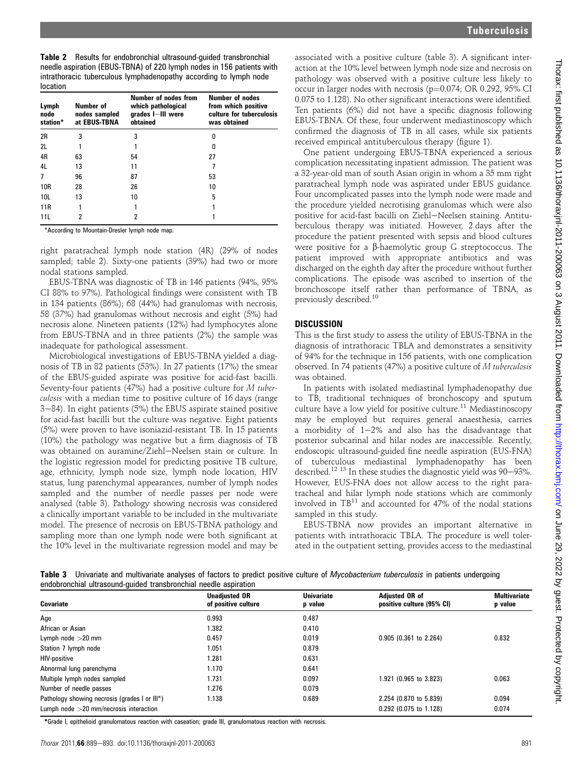| Lymph<br>node<br>station* | Number of<br>nodes sampled<br>at EBUS-TBNA | Number of nodes from<br>which pathological<br>grades I-III were<br>obtained | Number of nodes<br>from which positive<br>culture for tuberculosis<br>was obtained |
|---------------------------|--------------------------------------------|-----------------------------------------------------------------------------|------------------------------------------------------------------------------------|
| 2R                        | 3                                          | 3                                                                           | 0                                                                                  |
| 2L                        |                                            |                                                                             | ŋ                                                                                  |
| 4R                        | 63                                         | 54                                                                          | 27                                                                                 |
| 4L                        | 13                                         | 11                                                                          |                                                                                    |
| 7                         | 96                                         | 87                                                                          | 53                                                                                 |
| 10 <sub>R</sub>           | 28                                         | 26                                                                          | 10                                                                                 |
| 10L                       | 13                                         | 10                                                                          | 5                                                                                  |
| 11 <sub>R</sub>           |                                            |                                                                             |                                                                                    |
| 11L                       | 2                                          | 2                                                                           |                                                                                    |

\*According to Mountain-Dresler lymph node map.

right paratracheal lymph node station (4R) (29% of nodes sampled; table 2). Sixty-one patients (39%) had two or more nodal stations sampled.

EBUS-TBNA was diagnostic of TB in 146 patients (94%, 95% CI 88% to 97%). Pathological findings were consistent with TB in 134 patients (86%); 68 (44%) had granulomas with necrosis, 58 (37%) had granulomas without necrosis and eight (5%) had necrosis alone. Nineteen patients (12%) had lymphocytes alone from EBUS-TBNA and in three patients (2%) the sample was inadequate for pathological assessment.

Microbiological investigations of EBUS-TBNA yielded a diagnosis of TB in 82 patients (53%). In 27 patients (17%) the smear of the EBUS-guided aspirate was positive for acid-fast bacilli. Seventy-four patients (47%) had a positive culture for M tuberculosis with a median time to positive culture of 16 days (range  $3-84$ ). In eight patients (5%) the EBUS aspirate stained positive for acid-fast bacilli but the culture was negative. Eight patients (5%) were proven to have isoniazid-resistant TB. In 15 patients (10%) the pathology was negative but a firm diagnosis of TB was obtained on auramine/Ziehl-Neelsen stain or culture. In the logistic regression model for predicting positive TB culture, age, ethnicity, lymph node size, lymph node location, HIV status, lung parenchymal appearances, number of lymph nodes sampled and the number of needle passes per node were analysed (table 3). Pathology showing necrosis was considered a clinically important variable to be included in the multivariate model. The presence of necrosis on EBUS-TBNA pathology and sampling more than one lymph node were both significant at the 10% level in the multivariate regression model and may be

associated with a positive culture (table 3). A significant interaction at the 10% level between lymph node size and necrosis on pathology was observed with a positive culture less likely to occur in larger nodes with necrosis ( $p=0.074$ ; OR 0.292, 95% CI 0.075 to 1.128). No other significant interactions were identified. Ten patients (6%) did not have a specific diagnosis following EBUS-TBNA. Of these, four underwent mediastinoscopy which confirmed the diagnosis of TB in all cases, while six patients received empirical antituberculous therapy (figure 1).

One patient undergoing EBUS-TBNA experienced a serious complication necessitating inpatient admission. The patient was a 32-year-old man of south Asian origin in whom a 35 mm right paratracheal lymph node was aspirated under EBUS guidance. Four uncomplicated passes into the lymph node were made and the procedure yielded necrotising granulomas which were also positive for acid-fast bacilli on Ziehl-Neelsen staining. Antituberculous therapy was initiated. However, 2 days after the procedure the patient presented with sepsis and blood cultures were positive for a  $\beta$ -haemolytic group G streptococcus. The patient improved with appropriate antibiotics and was discharged on the eighth day after the procedure without further complications. The episode was ascribed to insertion of the bronchoscope itself rather than performance of TBNA, as previously described.<sup>10</sup>

# **DISCUSSION**

This is the first study to assess the utility of EBUS-TBNA in the diagnosis of intrathoracic TBLA and demonstrates a sensitivity of 94% for the technique in 156 patients, with one complication observed. In 74 patients (47%) a positive culture of M tuberculosis was obtained.

In patients with isolated mediastinal lymphadenopathy due to TB, traditional techniques of bronchoscopy and sputum culture have a low yield for positive culture.<sup>11</sup> Mediastinoscopy may be employed but requires general anaesthesia, carries a morbidity of  $1-2\%$  and also has the disadvantage that posterior subcarinal and hilar nodes are inaccessible. Recently, endoscopic ultrasound-guided fine needle aspiration (EUS-FNA) of tuberculous mediastinal lymphadenopathy has been described.<sup>12 13</sup> In these studies the diagnostic yield was 90-93%. However, EUS-FNA does not allow access to the right paratracheal and hilar lymph node stations which are commonly involved in  $TB^{11}$  and accounted for 47% of the nodal stations sampled in this study.

EBUS-TBNA now provides an important alternative in patients with intrathoracic TBLA. The procedure is well tolerated in the outpatient setting, provides access to the mediastinal

Table 3 Univariate and multivariate analyses of factors to predict positive culture of Mycobacterium tuberculosis in patients undergoing endobronchial ultrasound-guided transbronchial needle aspiration

| Covariate                                     | <b>Unadjusted OR</b><br>of positive culture | <b>Univariate</b><br>p value | <b>Adiusted OR of</b><br>positive culture (95% CI) | <b>Multivariate</b><br>p value |
|-----------------------------------------------|---------------------------------------------|------------------------------|----------------------------------------------------|--------------------------------|
| Age                                           | 0.993                                       | 0.487                        |                                                    |                                |
| African or Asian                              | 1.382                                       | 0.410                        |                                                    |                                |
| Lymph node $>$ 20 mm                          | 0.457                                       | 0.019                        | 0.905 (0.361 to 2.264)                             | 0.832                          |
| Station 7 lymph node                          | 1.051                                       | 0.879                        |                                                    |                                |
| <b>HIV-positive</b>                           | 1.281                                       | 0.631                        |                                                    |                                |
| Abnormal lung parenchyma                      | 1.170                                       | 0.641                        |                                                    |                                |
| Multiple lymph nodes sampled                  | 1.731                                       | 0.097                        | 1.921 (0.965 to 3.823)                             | 0.063                          |
| Number of needle passes                       | 1.276                                       | 0.079                        |                                                    |                                |
| Pathology showing necrosis (grades I or III*) | 1.138                                       | 0.689                        | 2.254 (0.870 to 5.839)                             | 0.094                          |
| Lumph node $>$ 20 mm/necrosis interaction     |                                             |                              | 0.292 (0.075 to 1.128)                             | 0.074                          |

\*Grade I, epithelioid granulomatous reaction with caseation; grade III, granulomatous reaction with necrosis.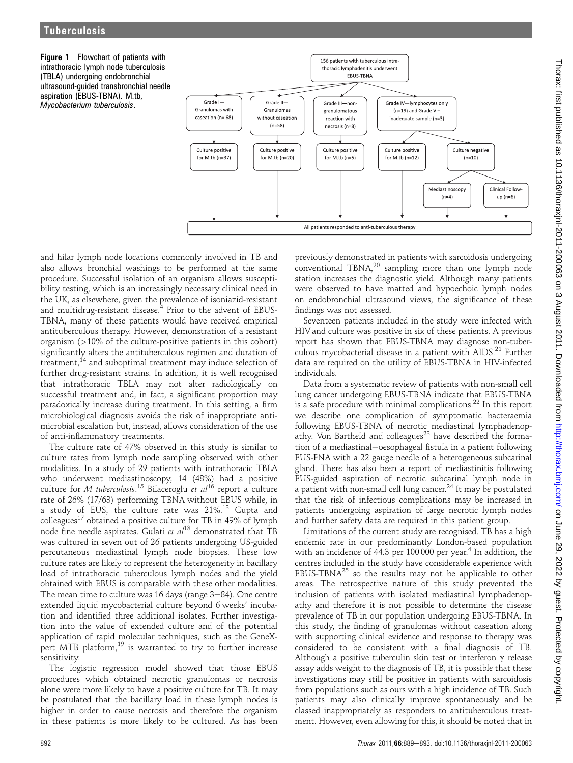**Figure 1** Flowchart of patients with intrathoracic lymph node tuberculosis (TBLA) undergoing endobronchial ultrasound-guided transbronchial needle aspiration (EBUS-TBNA). M.tb, Mycobacterium tuberculosis.



and hilar lymph node locations commonly involved in TB and also allows bronchial washings to be performed at the same procedure. Successful isolation of an organism allows susceptibility testing, which is an increasingly necessary clinical need in the UK, as elsewhere, given the prevalence of isoniazid-resistant and multidrug-resistant disease. $4$  Prior to the advent of EBUS-TBNA, many of these patients would have received empirical antituberculous therapy. However, demonstration of a resistant organism  $(>10\%$  of the culture-positive patients in this cohort) significantly alters the antituberculous regimen and duration of treatment,<sup>14</sup> and suboptimal treatment may induce selection of further drug-resistant strains. In addition, it is well recognised that intrathoracic TBLA may not alter radiologically on successful treatment and, in fact, a significant proportion may paradoxically increase during treatment. In this setting, a firm microbiological diagnosis avoids the risk of inappropriate antimicrobial escalation but, instead, allows consideration of the use of anti-inflammatory treatments.

The culture rate of 47% observed in this study is similar to culture rates from lymph node sampling observed with other modalities. In a study of 29 patients with intrathoracic TBLA who underwent mediastinoscopy, 14 (48%) had a positive culture for  $M$  *tuberculosis.* $^{15}$  Bilaceroglu *et al*  $^{16}$  report a culture rate of 26% (17/63) performing TBNA without EBUS while, in a study of EUS, the culture rate was 21%.<sup>13</sup> Gupta and colleagues<sup>17</sup> obtained a positive culture for TB in 49% of lymph node fine needle aspirates. Gulati et  $al^{18}$  demonstrated that TB was cultured in seven out of 26 patients undergoing US-guided percutaneous mediastinal lymph node biopsies. These low culture rates are likely to represent the heterogeneity in bacillary load of intrathoracic tuberculous lymph nodes and the yield obtained with EBUS is comparable with these other modalities. The mean time to culture was 16 days (range  $3-84$ ). One centre extended liquid mycobacterial culture beyond 6 weeks' incubation and identified three additional isolates. Further investigation into the value of extended culture and of the potential application of rapid molecular techniques, such as the GeneXpert MTB platform, $19$  is warranted to try to further increase sensitivity.

The logistic regression model showed that those EBUS procedures which obtained necrotic granulomas or necrosis alone were more likely to have a positive culture for TB. It may be postulated that the bacillary load in these lymph nodes is higher in order to cause necrosis and therefore the organism in these patients is more likely to be cultured. As has been

previously demonstrated in patients with sarcoidosis undergoing  $conventional$  TBNA, $^{20}$  sampling more than one lymph node station increases the diagnostic yield. Although many patients were observed to have matted and hypoechoic lymph nodes on endobronchial ultrasound views, the significance of these findings was not assessed.

Seventeen patients included in the study were infected with HIV and culture was positive in six of these patients. A previous report has shown that EBUS-TBNA may diagnose non-tuberculous mycobacterial disease in a patient with AIDS.<sup>21</sup> Further data are required on the utility of EBUS-TBNA in HIV-infected individuals.

Data from a systematic review of patients with non-small cell lung cancer undergoing EBUS-TBNA indicate that EBUS-TBNA is a safe procedure with minimal complications.<sup>22</sup> In this report we describe one complication of symptomatic bacteraemia following EBUS-TBNA of necrotic mediastinal lymphadenopathy. Von Bartheld and colleagues<sup>23</sup> have described the formation of a mediastinal-oesophageal fistula in a patient following EUS-FNA with a 22 gauge needle of a heterogeneous subcarinal gland. There has also been a report of mediastinitis following EUS-guided aspiration of necrotic subcarinal lymph node in a patient with non-small cell lung cancer.<sup>24</sup> It may be postulated that the risk of infectious complications may be increased in patients undergoing aspiration of large necrotic lymph nodes and further safety data are required in this patient group.

Limitations of the current study are recognised. TB has a high endemic rate in our predominantly London-based population with an incidence of  $44.3$  per  $100\,000$  per year.<sup>4</sup> In addition, the centres included in the study have considerable experience with EBUS-TBNA $^{25}$  so the results may not be applicable to other areas. The retrospective nature of this study prevented the inclusion of patients with isolated mediastinal lymphadenopathy and therefore it is not possible to determine the disease prevalence of TB in our population undergoing EBUS-TBNA. In this study, the finding of granulomas without caseation along with supporting clinical evidence and response to therapy was considered to be consistent with a final diagnosis of TB. Although a positive tuberculin skin test or interferon  $\gamma$  release assay adds weight to the diagnosis of TB, it is possible that these investigations may still be positive in patients with sarcoidosis from populations such as ours with a high incidence of TB. Such patients may also clinically improve spontaneously and be classed inappropriately as responders to antituberculous treatment. However, even allowing for this, it should be noted that in